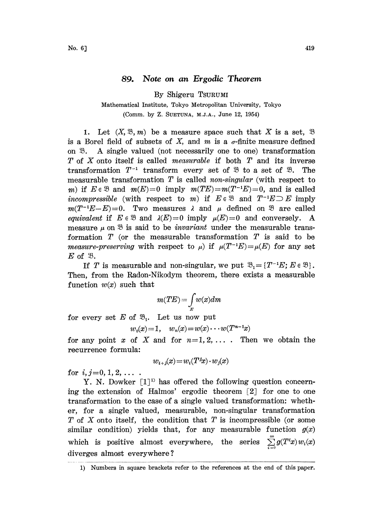## 89. Note on an Ergodic Theorem

By Shigeru TSURUMI

## Mathematical Institute, Tokyo Metropolitan University, Tokyo (Comm. by Z. SUETUNA, M.J.A., June 12, 1954)

1. Let  $(X, \mathfrak{B}, m)$  be a measure space such that X is a set,  $\mathfrak{B}$ is a Borel field of subsets of  $X$ , and  $m$  is a  $\sigma$ -finite measure defined on  $\mathfrak{B}$ . A single valued (not necessarily one to one) transformation T of X onto itself is called *measurable* if both  $T$  and its inverse transformation  $T^{-1}$  transform every set of  $\mathcal{B}$  to a set of  $\mathcal{B}$ . The transformation  $T^{-1}$  transform every set of  $\mathfrak{B}$  to a set of  $\mathfrak{B}$ . The measurable transformation T is called *non-singular* (with respect to m) if  $E \in \mathcal{B}$  and  $m(E)=0$  imply  $m(TE)=m(T^{-1}E)=0$ , and is called incompressible (with respect to m) if  $E \in \mathcal{B}$  and  $T^{-1}E \supset E$  imply  $m(T^{-1}E-E)=0$ . Two measures  $\lambda$  and  $\mu$  defined on  $\mathcal{B}$  are called equivalent if  $E \in \mathcal{B}$  and  $\lambda(E)=0$  imply  $\mu(E)=0$  and conversely. A measure  $\mu$  on  $\mathfrak B$  is said to be *invariant* under the measurable transformation  $T$  (or the measurable transformation  $T$  is said to be measure-preserving with respect to  $\mu$ ) if  $\mu(T^{-1}E) = \mu(E)$  for any set  $E$  of  $\mathfrak{B}$ .

If T is measurable and non-singular, we put  $\mathfrak{B}_{1} = \{T^{-1}E, E \in \mathfrak{B}\}.$ Then, from the Radon-Nikodym theorem, there exists a measurable function  $w(x)$  such that

$$
m(TE) = \int\limits_{E} w(x) dm
$$

for every set E of  $\mathfrak{B}_1$ . Let us now put

$$
w_0(x)=1
$$
,  $w_n(x)=w(x)\cdots w(T^{n-1}x)$ 

for any point x of X and for  $n=1,2,\ldots$ . Then we obtain the recurrence formula:

$$
w_{i+j}(x) = w_i(T^j x) \cdot w_j(x)
$$

for  $i, j=0, 1, 2, \ldots$ .

Y. N. Dowker  $[1]^{1}$  has offered the following question concerning the extension of Halmos' ergodic theorem  $\lceil 2 \rceil$  for one to one transformation to the case of a single valued transformation: whether, for a single valued, measurable, non-singular transformation T of X onto itself, the condition that T is incompressible (or some similar condition) yields that, for any measurable function  $g(x)$ which is positive almost everywhere, the series  $\sum_{i=1}^{\infty} g(T^i x) w_i(x)$ diverges almost everywhere ?

<sup>1)</sup> Numbers in square brackets refer to the references at the end of this paper.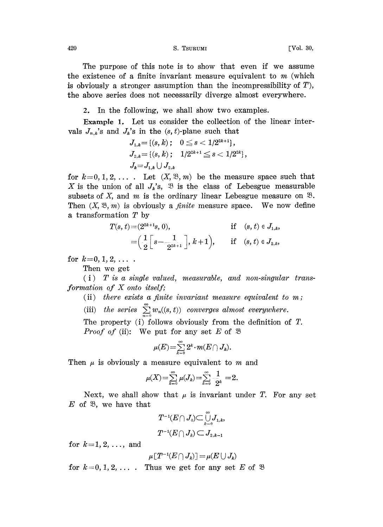420 S. TSURUMI [Vol. 30,

The purpose of this note is to show that even if we assume the existence of a finite invariant measure equivalent to  $m$  (which is obviously a stronger assumption than the incompressibility of  $T$ ), the above series does not necessarily diverge almost everywhere.

2. In the following, we shall show two examples.

Example 1. Let us consider the collection of the linear intervals  $J_{n,k}$ 's and  $J_k$ 's in the  $(s, t)$ -plane such that

$$
\begin{aligned} &J_{1,k} {=} \left\{ (s,k) \, ; \quad 0 \leqq s < 1/2^{2k+1} \right\}, \\ &J_{2,k} {=} \left\{ (s,k) \, ; \quad 1/2^{2k+1} \leqq s < 1/2^{2k} \right\}, \\ &J_k {=} J_{1,k} \cup J_{2,k} \end{aligned}
$$

for  $k=0, 1, 2, \ldots$ . Let  $(X, \mathfrak{B}, m)$  be the measure space such that X is the union of all  $J_k$ 's,  $\mathfrak B$  is the class of Lebesgue measurable subsets of X, and m is the ordinary linear Lebesgue measure on  $\mathfrak{B}$ . Then  $(X, \mathfrak{B}, m)$  is obviously a *finite* measure space. We now define a transformation T by

$$
T(s, t) = (2^{2k+1}s, 0),
$$
 if  $(s, t) \in J_{1,k}$ ,  
=  $\left(\frac{1}{2}\left[s - \frac{1}{2^{2k+1}}\right], k+1\right)$ , if  $(s, t) \in J_{2,k}$ ,

for  $k=0, 1, 2, \ldots$ .

Then we get

 $(i)$  T is a single valued, measurable, and non-singular transformation of X onto itself;

(ii) there exists a finite invariant measure equivalent to  $m$ ;

(iii) the series  $\sum_{n=0}^{\infty} w_n((s, t))$  converges almost everywhere.

The property (i) follows obviously from the definition of  $T$ . *Proof of* (ii): We put for any set E of  $\mathcal{B}$ 

$$
\mu(E)\!=\!\textstyle\sum\limits_{k=0}^\infty 2^k\!\cdot m(E\!\cap J_k)
$$

Then  $\mu$  is obviously a measure equivalent to m and

$$
\mu(X) = \sum_{k=0}^{\infty} \mu(J_k) = \sum_{k=0}^{\infty} -\frac{1}{2^k} = 2.
$$

Next, we shall show that  $\mu$  is invariant under T. For any set  $E$  of  $\mathfrak{B}$ , we have that

$$
T^{-1}(E\cap J_0)\subset \overset{\circ}{\underset{k=0}{\cup}} J_{1,k},\\ T^{-1}(E\cap J_k)\subset J_{2,k-1}
$$

for  $k=1, 2, \ldots$ , and

$$
\mu\,[T^{-1}(E\bigcap J_k)]=\mu(E\cup J_k)
$$

for  $k=0, 1, 2, \ldots$ . Thus we get for any set E of  $\mathfrak{B}$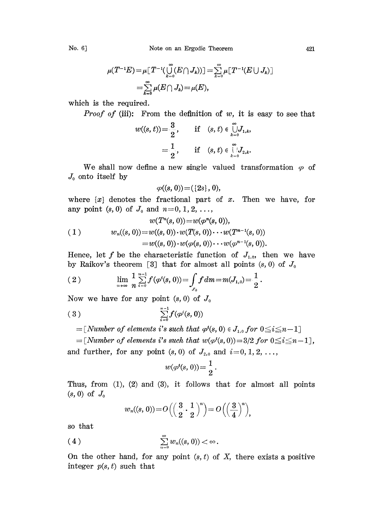No. 6] Note on an Ergodic Theorem 421

$$
\mu(T^{-1}E) = \mu \left[ T^{-1}(\bigcup_{k=0}^{\infty} (E \cap J_k)) \right] = \sum_{k=0}^{\infty} \mu \left[ T^{-1} (E \cup J_k) \right]
$$
  
= 
$$
\sum_{k=0}^{\infty} \mu(E \cap J_k) = \mu(E),
$$

which is the required.

*Proof of* (iii): From the definition of w, it is easy to see that

$$
w((s, t)) = \frac{3}{2}, \quad \text{if } (s, t) \in \bigcup_{k=0}^{\infty} J_{1,k},
$$
  
=  $\frac{1}{2}, \quad \text{if } (s, t) \in \bigcup_{k=0}^{\infty} J_{2,k}.$ 

We shall now define a new single valued transformation  $\varphi$  of  $J_0$  onto itself by

$$
\varphi((s,0))\!=\!([2s],0),
$$

where  $\{x\}$  denotes the fractional part of x. Then we have, for any point  $(s, 0)$  of  $J_0$  and  $n=0, 1, 2, ...$ ,

$$
w(T^n(s, 0)) = w(\varphi^n(s, 0)),
$$
  
(1) 
$$
w_n((s, 0)) = w((s, 0)) \cdot w(T(s, 0)) \cdot \cdot \cdot w(T^{n-1}(s, 0))
$$

$$
= w((s, 0)) \cdot w(\varphi(s, 0)) \cdot \cdot \cdot w(\varphi^{n-1}(s, 0)).
$$

Hence, let f be the characteristic function of  $J_{1,0}$ , then we have by Raikov's theorem [3] that for almost all points  $(s, 0)$  of  $J_0$ 

(2) 
$$
\lim_{n\to\infty}\frac{1}{n}\sum_{i=0}^{n-1}f(\varphi^i(s,0))=\int_{J_0}f dm=m(J_{1,0})=\frac{1}{2}.
$$

Now we have for any point  $(s, 0)$  of  $J_0$ 

$$
(3) \qquad \qquad \sum_{i=0}^{n-1} f(\varphi^i(s,0))
$$

 $=[Number of elements i's such that  $\varphi^{i}(s, 0) \in J_{1,0}$  for  $0 \leq i \leq n-1]$$ 

 $=[Number of elements i's such that w(\varphi^{i}(s, 0))=3/2 for 0 \le i \le n-1],$ and further, for any point  $(s, 0)$  of  $J_{2,0}$  and  $i=0, 1, 2, \ldots$ ,

$$
w(\varphi^{i}(s, 0)) = \frac{1}{2}.
$$

Thus, from  $(1)$ ,  $(2)$  and  $(3)$ , it follows that for almost all points  $(s, 0)$  of  $J_0$ 

$$
w_n((s, 0)) = O\left(\left(\frac{3}{2} \cdot \frac{1}{2}\right)^n\right) = O\left(\left(\frac{3}{4}\right)^n\right),
$$

so that

$$
\sum_{n=0}^{\infty}w_n((s, 0)) < \infty.
$$

On the other hand, for any point  $(s, t)$  of X, there exists a positive integer  $p(s, t)$  such that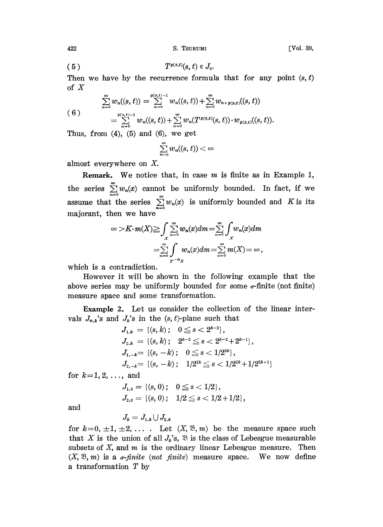[Vol. 30,

$$
(5) \t\t T^{p(s,t)}(s,t) \in J_0.
$$

Then we have by the recurrence formula that for any point  $(s, t)$ of  $X$ 

$$
(6)
$$
\n
$$
\sum_{n=0}^{\infty} w_n((s, t)) = \sum_{n=0}^{p(s, t)-1} w_n((s, t)) + \sum_{n=0}^{\infty} w_{n+p(s, t)}((s, t))
$$
\n
$$
= \sum_{n=0}^{p(s, t)-1} w_n((s, t)) + \sum_{n=0}^{\infty} w_n(T^{p(s, t)}(s, t)) \cdot w_{p(s, t)}((s, t)).
$$

Thus, from  $(4)$ ,  $(5)$  and  $(6)$ , we get

$$
\sum_{n=0}^{\infty}w_n((s,t))<\infty
$$

almost everywhere on  $X$ .

**Remark.** We notice that, in case  $m$  is finite as in Example 1, the series  $\sum_{n=0}^{\infty} w_n(x)$  cannot be uniformly bounded. In fact, if we assume that the series  $\sum_{n=0}^{\infty} w_n(x)$  is uniformly bounded and K is its majorant, then we have

$$
\infty > K \cdot m(X) \geq \int_{X} \sum_{n=0}^{\infty} w_n(x) dm = \sum_{n=0}^{\infty} \int_{X} w_n(x) dm
$$

$$
= \sum_{n=0}^{\infty} \int_{X} w_n(x) dm = \sum_{n=0}^{\infty} m(X) = \infty,
$$

which is a contradiction.

However it will be shown in the following example that the above series may be uniformly bounded for some  $\sigma$ -finite (not finite) measure space and some transformation.

**Example 2.** Let us consider the collection of the linear intervals  $J_{n,k}$ 's and  $J_k$ 's in the  $(s, t)$ -plane such that

$$
J_{1,k} = \{(s,k) \, ; \, 0 \le s < 2^{k-2} \},
$$
  
\n
$$
J_{2,k} = \{(s,k) \, ; \, 2^{k-2} \le s < 2^{k-2} + 2^{k-1} \},
$$
  
\n
$$
J_{1,-k} = \{(s,-k) \, ; \, 0 \le s < 1/2^{2k} \},
$$
  
\n
$$
J_{2,-k} = \{(s,-k) \, ; \, 1/2^{2k} \le s < 1/2^{2k} + 1/2^{2k+1} \}
$$

for  $k=1, 2, ...,$  and

$$
J_{1,0} = \{(s, 0); \quad 0 \le s < 1/2\},
$$
  

$$
J_{2,0} = \{(s, 0); \quad 1/2 \le s < 1/2 + 1/2\},
$$

and

$$
J_k=J_{1,k}\bigcup J_{2,k}
$$

for  $k=0, \pm 1, \pm 2, \ldots$ . Let  $(X, \mathfrak{B}, m)$  be the measure space such that X is the union of all  $J_k$ 's,  $\mathfrak B$  is the class of Lebesgue measurable subsets of  $X$ , and  $m$  is the ordinary linear Lebesgue measure. Then  $(X, \mathfrak{B}, m)$  is a *o-finite* (not *finite*) measure space. We now define a transformation  $T$  by

422